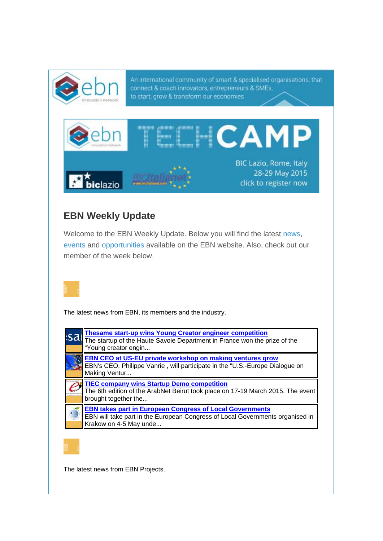

# **EBN Weekly Update**

Welcome to the EBN Weekly Update. Below you will find the latest news, events and opportunities available on the EBN website. Also, check out our member of the week below.



The latest news from EBN, its members and the industry.

| <b>Thesame start-up wins Young Creator engineer competition</b><br>The startup of the Haute Savoie Department in France won the prize of the<br>"Young creator engin       |
|----------------------------------------------------------------------------------------------------------------------------------------------------------------------------|
| <b>EBN CEO at US-EU private workshop on making ventures grow</b><br>EBN's CEO, Philippe Vanrie, will participate in the "U.S.-Europe Dialogue on<br>Making Ventur          |
| <b>TIEC company wins Startup Demo competition</b><br>The 6th edition of the ArabNet Beirut took place on 17-19 March 2015. The event<br>brought together the               |
| <b>EBN takes part in European Congress of Local Governments</b><br>EBN will take part in the European Congress of Local Governments organised in<br>Krakow on 4-5 May unde |

The latest news from EBN Projects.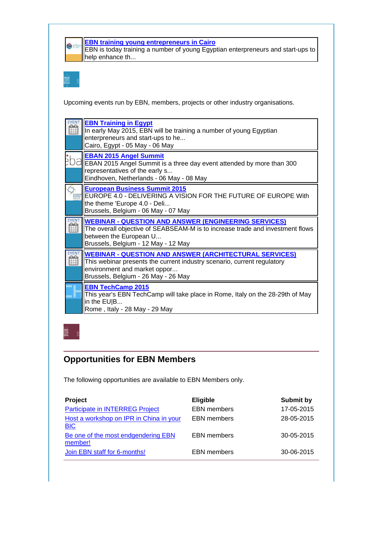

### **EBN training young entrepreneurs in Cairo**

EBN is today training a number of young Egyptian enterpreneurs and start-ups to help enhance th...

Upcoming events run by EBN, members, projects or other industry organisations.

| <b>EBN Training in Egypt</b><br>In early May 2015, EBN will be training a number of young Egyptian<br>enterpreneurs and start-ups to he<br>Cairo, Egypt - 05 May - 06 May                                       |
|-----------------------------------------------------------------------------------------------------------------------------------------------------------------------------------------------------------------|
| <b>EBAN 2015 Angel Summit</b><br>EBAN 2015 Angel Summit is a three day event attended by more than 300<br>representatives of the early s<br>Eindhoven, Netherlands - 06 May - 08 May                            |
| <b>European Business Summit 2015</b><br>EUROPE 4.0 - DELIVERING A VISION FOR THE FUTURE OF EUROPE With<br>the theme 'Europe 4.0 - Deli<br>Brussels, Belgium - 06 May - 07 May                                   |
|                                                                                                                                                                                                                 |
| <b>WEBINAR - QUESTION AND ANSWER (ENGINEERING SERVICES)</b><br>The overall objective of SEABSEAM-M is to increase trade and investment flows<br>between the European U<br>Brussels, Belgium - 12 May - 12 May   |
| <b>WEBINAR - QUESTION AND ANSWER (ARCHITECTURAL SERVICES)</b><br>This webinar presents the current industry scenario, current regulatory<br>environment and market oppor<br>Brussels, Belgium - 26 May - 26 May |

## **Opportunities for EBN Members**

The following opportunities are available to EBN Members only.

| Project                                               | <b>Eligible</b>    | <b>Submit by</b> |
|-------------------------------------------------------|--------------------|------------------|
| <b>Participate in INTERREG Project</b>                | <b>EBN</b> members | 17-05-2015       |
| Host a workshop on IPR in China in your<br><b>BIC</b> | <b>EBN</b> members | 28-05-2015       |
| Be one of the most endgendering EBN<br>member!        | <b>EBN</b> members | 30-05-2015       |
| Join EBN staff for 6-months!                          | <b>EBN</b> members | 30-06-2015       |